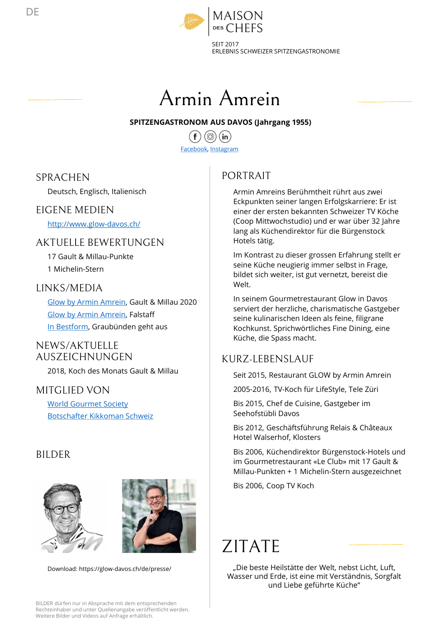

SEIT 2017 ERLEBNIS SCHWEIZER SPITZENGASTRONOMIE



### SPITZENGASTRONOM AUS DAVOS (Jahrgang 1955)

Facebook, Instagram

## **SPRACHEN**

### EIGENE MEDIEN

http://www.glow-davos.ch/

## AKTUELLE BEWERTUNGEN

### LINKS/MEDIA

### NEWS/AKTUELLE AUSZEICHNUNGEN

### MITGLIED VON

# BILDER





Download: https://glow-davos.ch/de/presse/

PORTRAIT

Deutsch, Englisch, Italienisch SPITZENGASTRONOM AUS DAVOS (Jahrgang 1955)<br>
Facebook, Instagram<br>
RACHEN<br>
Deutsch, Englisch, Italienisch<br>
GENE<br>
DENE<br>
GENE<br>
GENE<br>
GENE<br>
GENE<br>
GENE<br>
GENE<br>
GENE<br>
GENE<br>
MEDIEN<br>
Explicit Amrin Amrein, Berühmen Berühmen<br>
Explici Examedook, Instagram<br>
Facebook, Instagram<br>
Deutsch, Finglisch, Italienisch<br>
ENNE MEDIEN<br>
ERNE MEDIEN<br>
ERNE MEDIEN<br>
ERNE MEDIEN<br>
ERNE MEDIEN<br>
ERNE MEDIEN<br>
ERNE MEDIEN<br>
ERNE MEDIEN<br>
ERNE MEDIEN<br>
ERNE SERIEN BERNE ERNE ERNE E Neutsch, Englisch, Italienisch and Eckpunkten seiner langen Erfolgskarrier<br>
2018, Michelle BEWERTUNGEN<br>
2018, Koch des Monats Gault & Millau 2020<br>
2018, Koch des Monats Gault & Millau 2020<br>
2018, Koch des Monats Gault & Mi ISON<br>17<br>17<br>SSCHWEIZER SPITZENGASTRONOMIE<br>**AVOS (Jahrgang 1955)**<br>m<br>DRTRAIT<br>Armin Amreins Berühmtheit rührt aus zwei<br>Eckpunkten seiner langen Erfolgskarriere: Er ist<br>(Coop Mittwochstudio) und er war über 32 Jahre<br>lang als Kü ISON<br>
ITEFS<br>
IS SCHWEIZER SPITZENGASTRONOMIE<br> **INTERNATING (Jahrgang 1955)**<br> **INTERNATING (Jahrgang 1955)**<br>
INTERNATING<br>
AVOS (Jahrgang 1955)<br>
ISON MITERNATING SPITE CRIP EXPRESENTE: Er ist<br>
Eckpunkten seiner langen Erfolg IT<br>IS SCHWEIZER SPITZENGASTRONOMIE<br>**AVOS (Jahrgang 1955)**<br>**MOS (Jahrgang 1955)**<br>**DRTRAIT**<br>Armin Amreins Berühmtheit rührt aus zwei<br>Eckpunkten seiner langen Erfolgskarriere: Er ist<br>einer der ersten bekannten Schweizer TV Kö 17<br>
IS SCHWEIZER SPITZENGASTRONOMIE<br> **AVOS (Jahrgang 1955)**<br> **MOS (Jahrgang 1955)**<br>
MORTRAIT<br>
Armin Amreins Berühmtheit rührt aus zwei<br>
Eckpunkten seiner langen Erfolgskarriere: Er ist<br>
einer der ersten bekannten Schweizer 17<br>
17<br>
17 Cin<br>
17 Cin<br>
18 Schweizer Spitzens (1955)<br>
18 MOS (Jahrgang 1955)<br>
18 MOS (Jahrgang 1955)<br>
18 MOS (Jahrgang Erfolgskarriere: Er ist<br>
18 Eckpunkten steiner für die Bürgenstock<br>
19 Cieop Mittwochstudio) und er war Hotels tätig. **IM TE 11<br>
AVOS (Jahrgang 1955)**<br> **m**<br> **DRTRAIT**<br> **Armin Amreins Berühmtheit rührt aus zwei<br>
Eckpunkten seiner langen Erfolgskarriere: Er ist<br>
einer der erstetn bekannten Schweizer TV Köche<br>
(Coop Mittwochstudio) und er wa Source Community:**<br>
Seine Marketterig in Franceson<br>
Seine Armin Amreins Berühmtheit rührt aus zwei<br>
Eckpunkten seiner langen Erfolgskarriere: Er ist<br>
einer der ersten bekannten Schweizer TV Köche<br>
(Coop Mittwochstudio) un **index (Figure 1988)**<br> **hilder since since the significant signification**<br> **of the significant Secultarist Secultarist Secultarist Secularist Eckpunkten seiner langen Erfolgskarriere: Er ist<br>
einer der ersten bekannten Sch AVOS (Jahrgang 1955)**<br>
m<br>
M<br>
M<br>
DRTRAIT<br>
Armin Amreins Berühmtheit rührt aus zwei<br>
Eckpunkten seiner langen Erfolgskarriere: Er ist<br>
einer der ersten bekannten Schweizer TV Köche<br>
(Coop Mittwochstudio) und er war über 32 **AVOS (Jahrgang 1955)**<br>
m<br>
m<br>
m<br>
M<br>
DRTRAIT<br>
Armin Amreins Berühmtheit rührt aus zwei<br>
Eckpunkten seiner langen Erfolgskarriere: Er ist<br>
einer der ersten bekannten Schweizer TV Köche<br>
(Coop Mittwochstudio) und er war über m<br>
Seine Karlinarischen Serühmtheit rührt aus zwei<br>
Eckpunkten seiner langen Erfolgskarriere: Er ist<br>
einer der ersten bekannten Schweizer TV Köche<br>
(Coop Mittwochstudio) und er war über 32 Jahre<br>
lang als Küchendirektor f m<br>
MRTRAIT<br>
Armin Amreins Berühmtheit rührt aus zwei<br>
Eckpunkten seiner langen Erfolgskarriere: Er ist<br>
einer der ersten bekannten Schweizer TV Köche<br>
eiore of ersten bekannten Schweizer TV Köche<br>
(Coop Mittwochstudio) und m<br>
IMMINIANT<br>
Armin Amreins Berühmtheit rührt aus zwei<br>
Eckpunkten seiner langen Erfolgskarriere: Er ist<br>
einer der ersten bekannten Schweizer TV Köche<br>
(Coop Mittwochstudio) und er war über 32 Jahre<br>
lang als Küchendirekt Armin Amreins Berühmtheit rührt aus zwei<br>Eckpunkten seiner langen Erfolgskarriere: Er ist<br>eiener der ersten bekannten Schweizer TV Köche<br>(Coop Mittwochstudio) und er war über 32 Jahre<br>lang als Küchendirektor für die Bürgen

17 Gault & Millau-Punkte<br>
11 Gault & Millau-Punkte<br>
12 Stephen Küche neugierig immer selbst in Frage, 1 Michelin-Stern and the sense of the sense of the sense of the sense of the sense of the sense of the sense o<br>bildet sich weiter, ist gut vernetzt, bereist die Welt.

Glow by Armin Amrein, Falstaff **Exercise 1986** Serviert der herzliche, charismatische Gastgeber<br>Seine kulinarischen Ideen als feine, filigrane EXERIPMENT UNIVERALLY CONNUMBER 1978<br>
TO CALLE BEWERTUNGEN Hotels tätige Hotels tätige immer selbst in Kontrast zu dieser grossen Erfahrun<br>
11 Michelin-Stern seine Küche neugierig immer selbst in the bildet schweiter, ist Eckpunkten seiner langen Errolgskarriere: Er ist<br>einer der resten bekannten Schweizer TV Köche<br>(Coop Mittwochstudio) und er war über 32 Jahre<br>lang als Küchendirektor für die Bürgenstock<br>Hotels tätig.<br>Im Kontrast zu dieser (Coop Mittwochstudio) und er war über 32 Jahre<br>lang als Küchendirektor für die Bürgenstock<br>Hotels tätig.<br>Im Kontrast zu dieser grossen Erfahrung stellt er<br>seine Küche neugierig immer selbst in Frage,<br>bildet sich weiter, is lang als Küchendirektor für die Bürgenstock<br>Hotels tätig.<br>Im Kontrast zu dieser grossen Erfahrung stellt er<br>seine Küche neugierig immer selbst in Frage,<br>bildet sich weiter, ist gut vernetzt, bereist die<br>Welt.<br>Meinem Gourme Hotels tatig.<br>
Im Kontrast zu dieser grossen Erfahrung stellt er<br>
seine Küche neugierig immer selbst in Frage,<br>
bildet sich weiter, ist gut vernetzt, bereist die<br>
bildet sich weiter, ist gut vernetzt, bereist die<br>
Welt.<br>
I seine Kuche neugierig immer selbst in Frage,<br>bildet sich weiter, ist gut vernetzt, bereist die<br>bildet sich weiter, ist gut vernetzt, bereist die<br>Welt.<br>In seinem Gourmetrestaurant Glow in Davos<br>serviert der herzliche, chari bildet sich weiter, ist gut vernetzt, bereist die<br>Welt.<br>In seinem Gourmetrestaurant Glow in Davos<br>serviert der herzliche, charismatische Gastgeber<br>seine kulinarischen Ideen als feine, filigrane<br>Kochkunst. Sprichwörtliches Welt.<br>
In seiner Gourmetrestaurant Glow in Davos<br>
serviert der herzliche, charismatische Gastgeber<br>
seine kulinarischen Ideen als feine, filigrane<br>
Köchkunst. Sprichwörtliches Fine Dining, eine<br>
Küche, die Spass macht.<br>
JR

## KURZ-LEBENSLAUF

World Gourmet Society **Sourmet Society Example 2015, Chef de Cuisine, Gastgeber im** 

Hotel Walserhof, Klosters

Bis 2006, Coop TV Koch

# ZITATE

"Die beste Heilstätte der Welt, nebst Licht, Luft, Wasser und Erde, ist eine mit Verständnis, Sorgfalt und Liebe geführte Küche"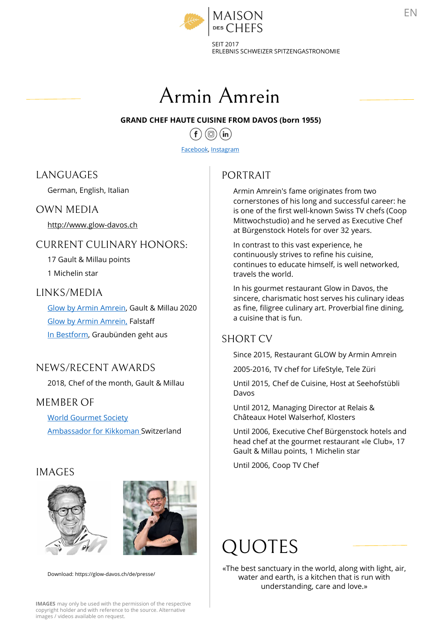

SEIT 2017 ERLEBNIS SCHWEIZER SPITZENGASTRONOMIE



Facebook, Instagram

# LANGUAGES

### OWN MEDIA

# CURRENT CULINARY HONORS:

1 Michelin star

### LINKS/MEDIA

GRAND CHEF HAUTE CUISINE FROM DAVOS (DOMET 1999)<br>
Facebook, Instagram<br>
Facebook, Instagram<br>
MOUAGES<br>
FACES<br>
SECT BORTRAIT<br>
MOUAGES<br>
MOUAGES<br>
MOUAGES<br>
MOUAGES<br>
MOUAGES<br>
MOUAGES<br>
MOUAGES<br>
MOUAGES<br>
MOUAGES<br>
MOUAGES<br>
MOUAGES<br> Glow by Armin Amrein, Falstaff UKENT CULINARY HONORS:<br>
17 Gault & Millau points<br>
17 Gault & Millau points<br>
17 Gault & Millau points<br>
17 Gault & Millau 2020<br>
18 Giow by Armin Amrein, Gault & Millau 2020<br>
18 Giow by Armin Amrein, Gault & Millau 2020<br>
18 G

## NEWS/RECENT AWARDS

## MEMBER OF

World Gourmet Society

### IMAGES





Download: https://glow-davos.ch/de/presse/

# PORTRAIT

Armin Amrein's fame originates from two cornerstones of his long and successful career: he is one of the first well-known Swiss TV chefs (Coop Mittwochstudio) and he served as Executive Chef 17<br>
17<br>
22 SCHWEIZER SPITZENGASTRONOMIE<br> **ROM DAVOS (born 1955)**<br>
22 MR DAVOS (born 1955)<br>
22 MR DATITY<br>
23 Amin Amrein's fame originates from two<br>
is one of the first well-known Swiss TV chefs (Coop<br>
Mittwochstudio) and h DRTRAIT<br>
Armin Amrein's fame originates from two<br>
cornerstones of his long and successful career: he<br>
is one of the first well-known Swiss TV chefs (Coop<br>
Mittwochstudio) and he served as Executive Chef<br>
at Bürgenstock Hot Armin Amrein's fame originates from two<br>cornerstones of his long and successful career: he<br>is one of the first well-known Swiss TV chefs (Coop<br>Mittwochstudio) and he served as Executive Chef<br>at Bürgenstock Hotels for over cornerstones of his long and successful career: he<br>is one of the first well-known Swiss TV chefs (Coop<br>Mittwochstudio) and he served as Executive Chef<br>at Bürgenstock Hotels for over 32 years.<br>In contrast to this vast exper MAISON<br>
ESCHEFS<br>
ENERIS SCHWEIZER SPITZENGASTRON<br>
ERLEBNIS SCHWEIZER SPITZENGASTRON<br>
GRAND CHEF HAUTE CUISINE FROM DAVOS (born 1955)<br>  $\begin{matrix}\n\end{matrix}$   $\begin{matrix}\n\end{matrix}$   $\begin{matrix}\n\end{matrix}$   $\begin{matrix}\n\end{matrix}$   $\begin{matrix}\n\end{matrix}$   $\begin{matrix}\n\end{matrix}$   $\begin{$ http://www.glow-davos.ch Mittwocnstudio) and he served as Executed by the Mittwocnstudio) and he served as Execu<br>at Bürgenstock Hotels for over 32 years.  $\begin{tabular}{l|c|c} \multicolumn{1}{c}{\textbf{GRAND CHEF HAUTE CUSINE FROM DAVOS (born 1955)}\\ \hline \textbf{GRAND CHEF HAUTE CUSINE FROM DAVOS (born 1955)}\\ \hline \textbf{Eacebook, Intagram}\\ \textbf{NGUAGES} & \textbf{PORTRAIT}\\ \textbf{Cerman, English, Italian} & \textbf{Arm amrein's fame originates for some those of his long and succes\\ \textbf{http://www.glow-davos.ch} & \textbf{In the first well-known Swiss\n Mittwochstudio) and he served as\n at Bürgenstock Hotel for over 32: \n In contrast to this vast experience, the first will be used. \n In a$ Facebook, Instagram<br>
Forman, English, Italian<br>
MN MEDIA<br>
Serman, English, Italian<br>
Armin Amrein's fame originates from two<br>
cornerstones of his long and successful career:<br>
In Amrein's fame originates from two<br>
cornerstone

In contrast to this vast experience, he continuously strives to refine his cuisine, continues to educate himself, is well networked, travels the world.

In his gourmet restaurant Glow in Davos, the sincere, charismatic host serves his culinary ideas as fine, filigree culinary art. Proverbial fine dining, a cuisine that is fun. Mittwochstudio) and he served as Executive Chet<br>at Bürgenstock Hotels for over 32 years.<br>In contrant to this vast experience, he<br>continuously strives to refine his cuisine,<br>continues to educate himself, is well networked,<br> In contrast to this vast experience, he<br>continuously strives to refine his cuisine,<br>continues to educate himself, is well networked,<br>travels the world.<br>In his gourmet restaurant Glow in Davos, the<br>sincere, charismatic host continuously strives to refine his cuisine,<br>continues to educate himself, is well networked,<br>travels the world.<br>In his gourmet restaurant Glow in Davos, the<br>sincere, charismatic host serves his culinary ideas<br>as fine, fili In his gourmet restaurant Glow in Davos, the<br>sincere, charismatic host serves his culinary ideas<br>as fine, filigree culinary art. Proverbial fine dining,<br>a cuisine that is fun.<br>IORT CV<br>Since 2015, Restaurant GLOW by Armin A

### SHORT CV

Davos 2018, Chef of the month, Gault & Millau Until 2015, Chef de Cuisine, Host at Seehofstübli

Châteaux Hotel Walserhof, Klosters

Gault & Millau points, 1 Michelin star

# QUOTES

«The best sanctuary in the world, along with light, air, water and earth, is a kitchen that is run with understanding, care and love.»

IMAGES may only be used with the permission of the respective copyright holder and with reference to the source. Alternative images / videos available on request.